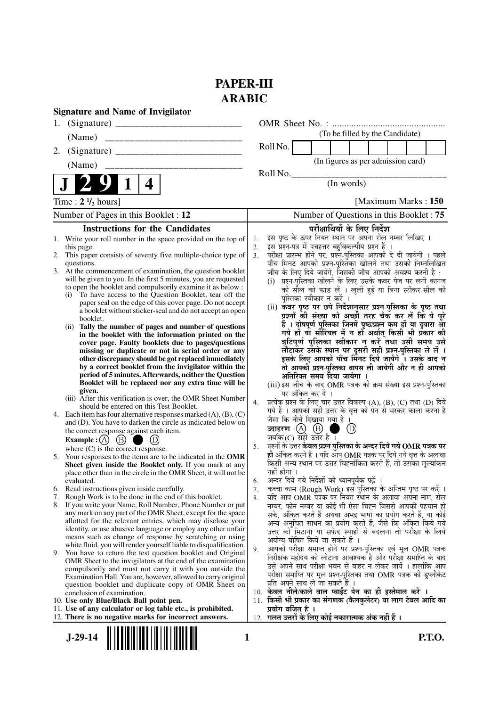## **PAPER-III ARABIC**

| <b>Signature and Name of Invigilator</b>                                                                                                 |                                                                                                                                                       |  |  |  |
|------------------------------------------------------------------------------------------------------------------------------------------|-------------------------------------------------------------------------------------------------------------------------------------------------------|--|--|--|
| 1.                                                                                                                                       |                                                                                                                                                       |  |  |  |
| (Name)                                                                                                                                   | (To be filled by the Candidate)                                                                                                                       |  |  |  |
| 2.                                                                                                                                       | Roll No.                                                                                                                                              |  |  |  |
| (Name)<br><u> 1980 - Jan Barbarat, manazarta da a</u>                                                                                    | (In figures as per admission card)                                                                                                                    |  |  |  |
|                                                                                                                                          | Roll No.                                                                                                                                              |  |  |  |
| 4                                                                                                                                        | (In words)                                                                                                                                            |  |  |  |
| Time : $2 \frac{1}{2}$ hours]                                                                                                            | [Maximum Marks: 150                                                                                                                                   |  |  |  |
| Number of Pages in this Booklet : 12                                                                                                     | Number of Questions in this Booklet : 75                                                                                                              |  |  |  |
| <b>Instructions for the Candidates</b>                                                                                                   | परीक्षार्थियों के लिए निर्देश                                                                                                                         |  |  |  |
| 1. Write your roll number in the space provided on the top of                                                                            | इस पृष्ठ के ऊपर नियत स्थान पर अपना रोल नम्बर लिखिए ।<br>1.                                                                                            |  |  |  |
| this page.<br>2. This paper consists of seventy five multiple-choice type of                                                             | इस प्रश्न-पत्र में पचहत्तर बहुविकल्पीय प्रश्न हैं ।<br>2.<br>परीक्षा प्रारम्भ होने पर, प्रश्न-पुस्तिका आपको दे दी जायेगी । पहले<br>3.                 |  |  |  |
| questions.                                                                                                                               | पाँच मिनट आपको प्रश्न-पुस्तिका खोलने तथा उसकी निम्नलिखित                                                                                              |  |  |  |
| 3. At the commencement of examination, the question booklet                                                                              | जाँच के लिए दिये जायेंगे, जिसकी जाँच आपको अवश्य करनी है :                                                                                             |  |  |  |
| will be given to you. In the first 5 minutes, you are requested                                                                          | (i) प्रश्न-पुस्तिका खोलने के लिए उसके कवर पेज पर लगी कागज                                                                                             |  |  |  |
| to open the booklet and compulsorily examine it as below :<br>(i) To have access to the Question Booklet, tear off the                   | को सील को फाड़ लें । खुली हुई या बिना स्टीकर-सील की                                                                                                   |  |  |  |
| paper seal on the edge of this cover page. Do not accept                                                                                 | पुस्तिका स्वीकार न करें ।<br>(ii) कवर पृष्ठ पर छपे निर्देशानुसार प्रश्न-पुस्तिका के पृष्ठ तथा                                                         |  |  |  |
| a booklet without sticker-seal and do not accept an open                                                                                 | प्रश्नों की संख्या को अच्छी तरह चैक कर लें कि ये पूरे                                                                                                 |  |  |  |
| booklet.<br>(ii) Tally the number of pages and number of questions                                                                       | हैं । दोषपूर्ण पुस्तिका जिनमें पृष्ठ/प्रश्न कम हों या दुबारा आ                                                                                        |  |  |  |
| in the booklet with the information printed on the                                                                                       | गये हों यो सीरियल में न हों अर्थात् किसी भी प्रकार की                                                                                                 |  |  |  |
| cover page. Faulty booklets due to pages/questions                                                                                       | त्रुटिपूर्ण पुस्तिका स्वीकार न करें तथा उसी समय उसे<br>लौटाकर उसके स्थान पर दूसरी सही प्रश्न-पुस्तिका ले लें ।                                        |  |  |  |
| missing or duplicate or not in serial order or any<br>other discrepancy should be got replaced immediately                               | इसके लिए आपको पाँच मिनट दिये जायेंगे । उसके बाद न                                                                                                     |  |  |  |
| by a correct booklet from the invigilator within the                                                                                     | तो आपकी प्रश्न-पुस्तिका वापस ली जायेगी और न ही आपको                                                                                                   |  |  |  |
| period of 5 minutes. Afterwards, neither the Question                                                                                    | अतिरिक्त समय दिया जायेगा ।                                                                                                                            |  |  |  |
| Booklet will be replaced nor any extra time will be<br>given.                                                                            | (iii) इस जाँच के बाद OMR पत्रक की क्रम संख्या इस प्रश्न-पुस्तिका                                                                                      |  |  |  |
| (iii) After this verification is over, the OMR Sheet Number                                                                              | पर अंकित कर दें ।<br>प्रत्येक प्रश्न के लिए चार उत्तर विकल्प (A), (B), (C) तथा (D) दिये<br>4.                                                         |  |  |  |
| should be entered on this Test Booklet.                                                                                                  | गये हैं । आपको सही उत्तर के वृत्त को पेन से भरकर काला करना है                                                                                         |  |  |  |
| 4. Each item has four alternative responses marked $(A)$ , $(B)$ , $(C)$<br>and (D). You have to darken the circle as indicated below on | जैसा कि नीचे दिखाया गया है ।                                                                                                                          |  |  |  |
| the correct response against each item.                                                                                                  | उदाहरण $\,$ : $(A)$ $\,$ $(B)$                                                                                                                        |  |  |  |
| Example : (A) $(B)$<br>(D)                                                                                                               | जबकि $(C)$ सही उत्तर है ।                                                                                                                             |  |  |  |
| where $(C)$ is the correct response.                                                                                                     | प्रश्नों के उत्तर <b>केवल प्रश्न पुस्तिका के अन्दर दिये गये OMR पत्रक पर</b><br>5.<br>ही अंकित करने हैं । यदि आप OMR पत्रक पर दिये गये वृत्त के अलावा |  |  |  |
| 5. Your responses to the items are to be indicated in the OMR<br>Sheet given inside the Booklet only. If you mark at any                 | किसी अन्य स्थान पर उत्तर चिह्नांकित करते हैं, तो उसका मूल्यांकन                                                                                       |  |  |  |
| place other than in the circle in the OMR Sheet, it will not be                                                                          | नहीं होगा ।                                                                                                                                           |  |  |  |
| evaluated.                                                                                                                               | अन्दर दिये गये निर्देशों को ध्यानपूर्वक पढ़ें ।<br>6.                                                                                                 |  |  |  |
| 6. Read instructions given inside carefully.<br>7. Rough Work is to be done in the end of this booklet.                                  | कच्चा काम (Rough Work) इस पुस्तिका के अन्तिम पृष्ठ पर करें ।<br>7.<br>यदि आप OMR पत्रक पर नियत स्थान के अलावा अपना नाम, रोल<br>8.                     |  |  |  |
| 8. If you write your Name, Roll Number, Phone Number or put                                                                              | नम्बर, फोन नम्बर या कोई भी ऐसा चिह्न जिससे आपकी पहचान हो                                                                                              |  |  |  |
| any mark on any part of the OMR Sheet, except for the space                                                                              | सके, अंकित करते हैं अथवा अभद्र भाषा का प्रयोग करते हैं, या कोई                                                                                        |  |  |  |
| allotted for the relevant entries, which may disclose your<br>identity, or use abusive language or employ any other unfair               | अन्य अनुचित साधन का प्रयोग करते हैं, जैसे कि अंकित किये गये                                                                                           |  |  |  |
| means such as change of response by scratching or using                                                                                  | उत्तर को मिटाना या सफेद स्याही से बदलना तो परीक्षा के लिये<br>अयोग्य घोषित किये जा सकते हैं ।                                                         |  |  |  |
| white fluid, you will render yourself liable to disqualification.                                                                        | आपको परीक्षा समाप्त होने पर प्रश्न-पुस्तिका एवं मूल OMR पत्रक<br>9.                                                                                   |  |  |  |
| 9. You have to return the test question booklet and Original<br>OMR Sheet to the invigilators at the end of the examination              | निरीक्षक महोदय को लौटाना आवश्यक है और परीक्षा समाप्ति के बाद                                                                                          |  |  |  |
| compulsorily and must not carry it with you outside the                                                                                  | उसे अपने साथ परीक्षा भवन से बाहर न लेकर जायें । हालांकि आप                                                                                            |  |  |  |
| Examination Hall. You are, however, allowed to carry original                                                                            | परीक्षा समाप्ति पर मूल प्रश्न-पुस्तिका तथा OMR पत्रक की डुप्लीकेट<br>प्रति अपने साथ ले जा सकते हैं ।                                                  |  |  |  |
| question booklet and duplicate copy of OMR Sheet on<br>conclusion of examination.                                                        | 10. केवल नीले/काले बाल प्वाईंट पेन का ही इस्तेमाल करें ।                                                                                              |  |  |  |
| 10. Use only Blue/Black Ball point pen.                                                                                                  | 11. किसी भी प्रकार का संगणक (कैलकुलेटर) या लाग टेबल आदि का                                                                                            |  |  |  |
| 11. Use of any calculator or log table etc., is prohibited.                                                                              | प्रयोग वर्जित है ।                                                                                                                                    |  |  |  |
| 12. There is no negative marks for incorrect answers.                                                                                    | गलत उत्तरों के लिए कोई नकारात्मक अंक नहीं हैं ।<br>12.                                                                                                |  |  |  |
| <b>P.T.O.</b><br>$J-29-14$<br>1                                                                                                          |                                                                                                                                                       |  |  |  |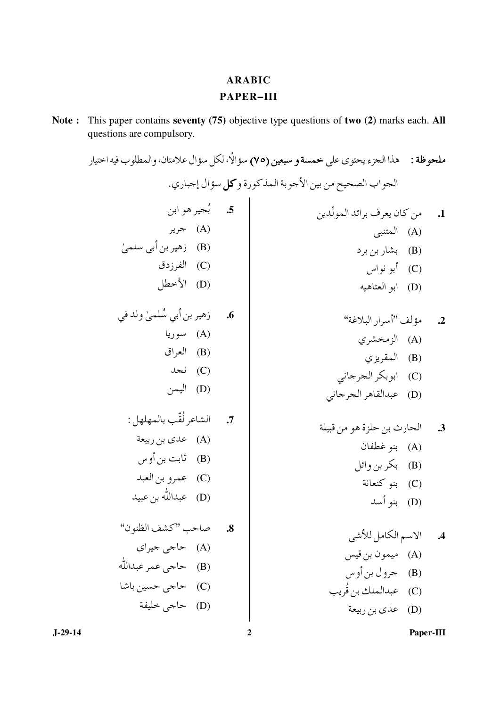## **ARABIC** PAPER-III

Note: This paper contains seventy (75) objective type questions of two (2) marks each. All questions are compulsory.

|                                     | ملحوظة :     هذا الجزء يحتوي على خمسة و سبعين (٧٥) سؤالًا، لكل سؤال علامتان، والمطلوب فيه اختيار |           |
|-------------------------------------|--------------------------------------------------------------------------------------------------|-----------|
|                                     | الحواب الصحيح من بين الأجوبة المذكورة وكل سؤال إجباري.                                           |           |
| 5. بُجير هو ابن                     | 1. من كان يعرف برائد المولّدين                                                                   |           |
| (A) جرير                            | (A) المتنبي                                                                                      |           |
| (B) زهير بن أبي سلميٰ               | (B) بشاربن برد                                                                                   |           |
| (C) الفرزدق                         | (C)    أبو نواس                                                                                  |           |
| (D) الأخطل                          | (D) ابو العتاهيه                                                                                 |           |
| <b>6.</b> زهير بن أبي سُلميٰ ولد في | 2. مؤلف "أسرار البلاغة"                                                                          |           |
| (A) سوريا                           | (A) الزمخشري                                                                                     |           |
| (B) العراق                          | (B) المقريزي                                                                                     |           |
| (C) نجد                             | (C)   ابوبكر الجرجاني                                                                            |           |
| (D) اليمن                           | (D) عبدالقاهر الجرجاني                                                                           |           |
| 7. الشاعر لُقّب بالمهلهل :          | 3. الحارث بن حلزة هو من قبيلة                                                                    |           |
| (A) عدي بن ربيعة                    | (A) بنو غطفان                                                                                    |           |
| (B)     ثابت بن أوس                 | (B) بكر بن وائل                                                                                  |           |
| (C) عمرو بن العبد                   | (C) بنو كنعانة                                                                                   |           |
| (D) عبدالله بن عبيد                 | (D) بنو أسد                                                                                      |           |
|                                     |                                                                                                  |           |
| 8. صاحب "كشف الظنون"                | الاسم الكامل للأشى                                                                               | $\cdot$ 4 |
| (A) حاج <sub>ی</sub> جیرای          | (A) ميمون بن قيس                                                                                 |           |
| (B) حاجي عمر عبدالله                | (B) جرول بن أوس                                                                                  |           |
| (C) حاجي حسين باشا                  | (C) عبدالملك بن قريب                                                                             |           |
| (D) حاج <sub>ى</sub> خليفة          | (D) عدي بن ربيعة                                                                                 |           |
|                                     |                                                                                                  |           |

Paper-III

 $\overline{2}$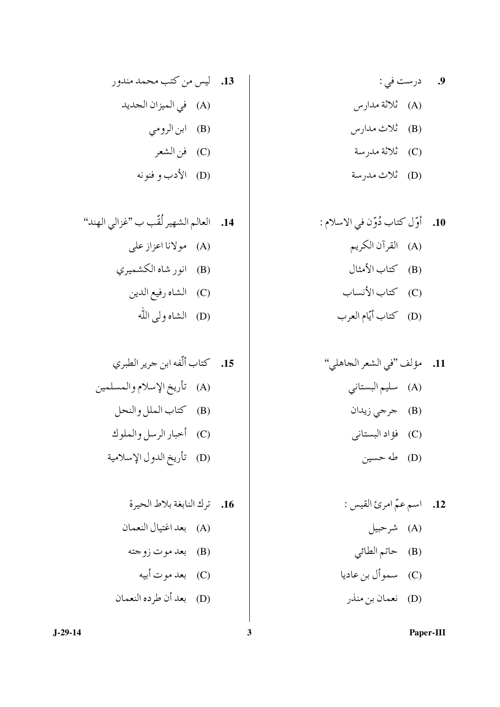- **9.** درست في :
- (A) ئلائة مدارس
- (B) تْلاث مدارس
	- (C) ثلاثة مدرسة
	- (D) ثلاث مدرسة

(D) نعمان بن منذر

13. ليس من كتب محمد مندور (A) في الميزان الجديد (B) ابن الرومي (C) فن الشعر

(D) الأدب و فنونه

Paper-III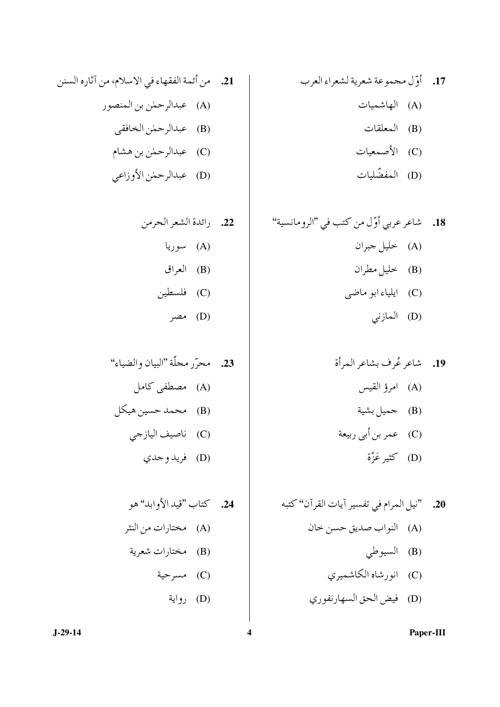- (B) المعلقات
- (C) الأصمعيات
- (D) المفضّليات

(D) فيض الحق السهارنفوري

21. من أئمة الفقهاء في الاسلام، من آثاره السنن (A) عبدالرحمٰن بن المنصور (B) عبدالرحمٰن الخافقي (C) عبدالرحمٰن بن هشام

(D) عبدالرحمٰن الأوزاعي

Paper-III

 $J-29-14$ 

 $\overline{\mathbf{4}}$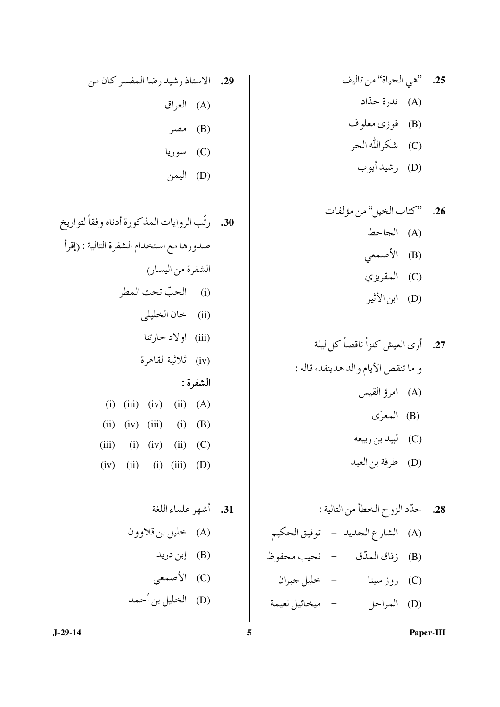7.5. 
$$
\vec{u}
$$
 (نَدِالرِوائات المذكورة أدناه وفقاً لتواریخ مدايسار)  
الشفرة من اليسار)  
(ii) اولاد حارتنا  
(iii) اولاد حارتنا  
(iii) اولا حارتنا  
الشفروة:  
(iv) }الائية القامرق  
(iv) (iii) (iv) (ii) (A)  
(ii) (iv) (iii) (ii) (B)  
(iii) (ii) (iv) (ii) (C)  
(iii) (ii) (ii) (i) (b)

 $J-29-14$ 

Paper-III

 $\overline{5}$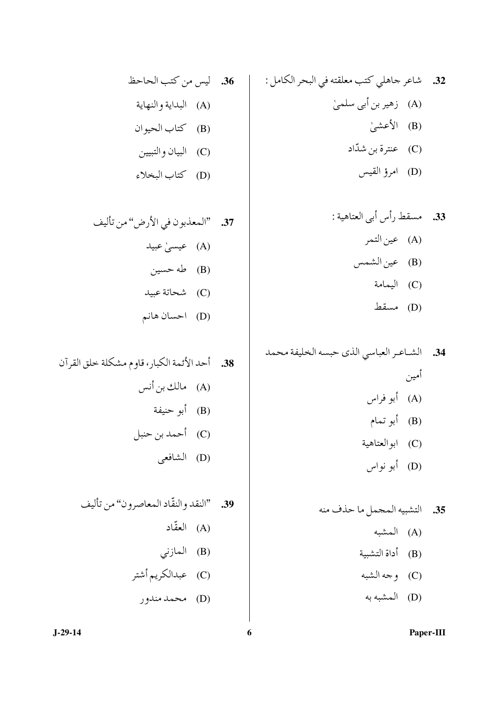32. شاعر جاهلي كتب معلقته في البحر الكامل : (A) زهير بن أبي سلميٰ (B) الأعشىٰ (C) عنترة بن شدّاد (D) امرؤ القيس

34. الشاعر العباسي الذي حبسه الخليفة محمد أمين<br>(A) أبو

- (D) أبو نواس
- 35. التشبيه المجمل ما حذف منه (A) المشبه (B) أداة التشبية و جه الشبه) (C)
	- (D) المشبه به
		- Paper-III

(D) كتاب البخلاء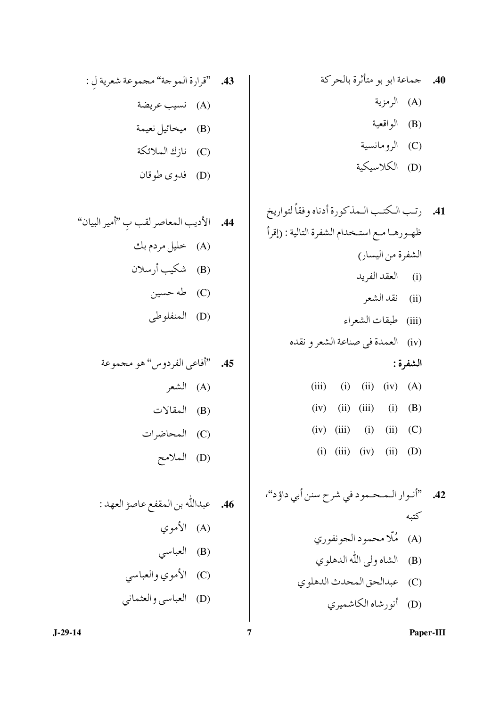- (B) الواقعية
- 
- (C) الرومانسية<br>(D) الكلاسيكية

Paper-III

 $\overline{7}$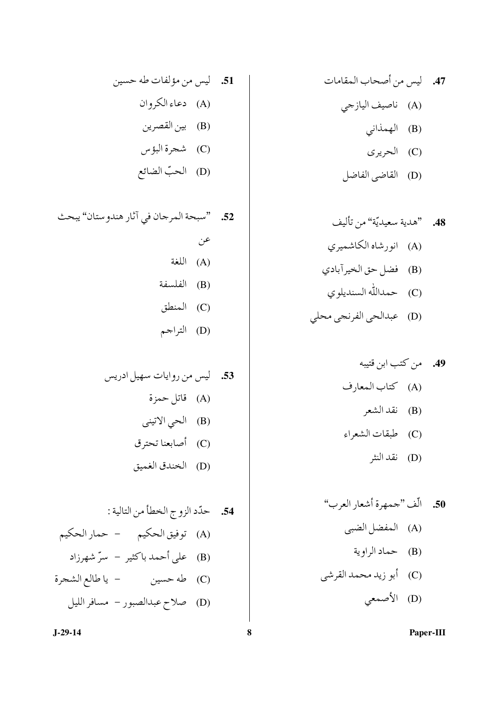- (A) ناصيف اليازجي
	- (B) الهمذاني
		- (C) الحريري
	- (D) القاضي الفاضل

(D) الحبّ الضائع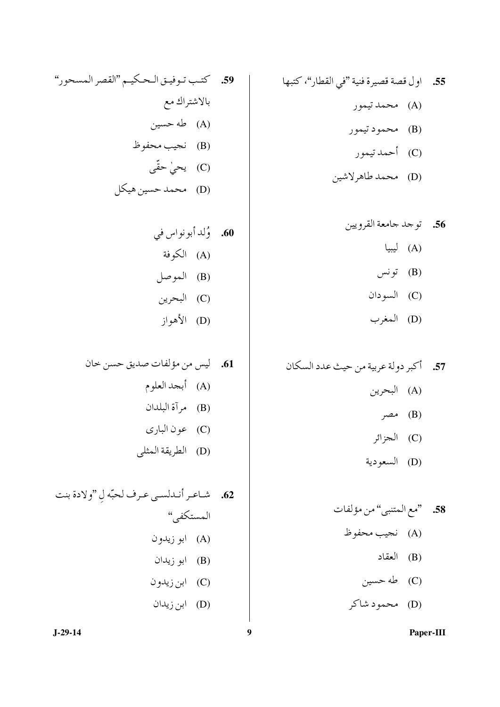55. اول قصة قصيرة فنية "في القطار"، كتبها (A) محمد تيمور (B) محمود تيمور (C) أحمد تيمور

(D) محمد طاهرلاشين

$$
\vec{u} \quad (B)
$$

- (C) السودان
- (D) المغرب

57. أكبر دولة عربية من حيث عدد السكان (A) البحرين (B) مصر (C) الجزائر (D) السعودية

$$
\det(C)
$$

(D) محمود شاکر

59. كتب توفيق الحكيم "القصر المسحور" بالاشتراك مع (A) طه حسين (B) نحيب محفوظ (C) یحیٰ حقّی (D) محمد حسين هيكل

Paper-III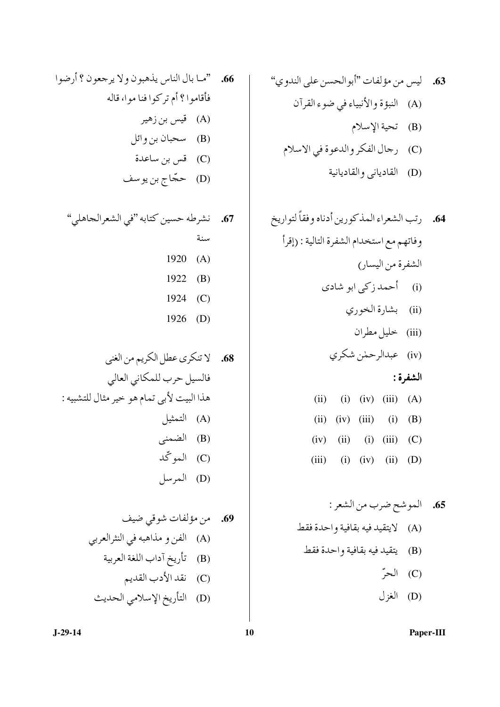Paper-III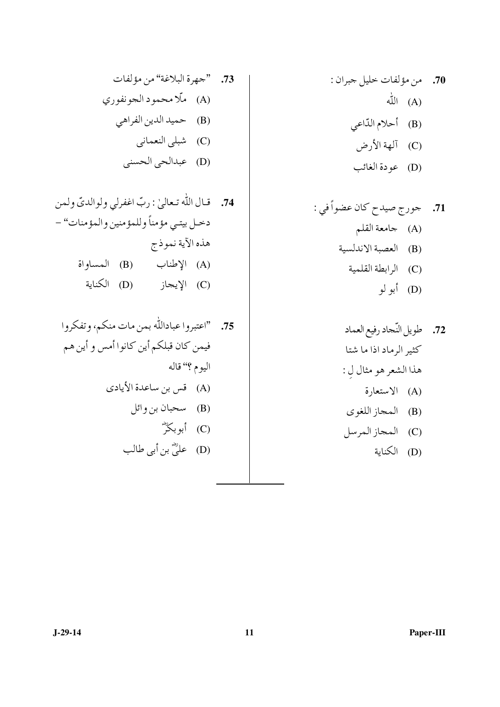(D) عودة الغائب